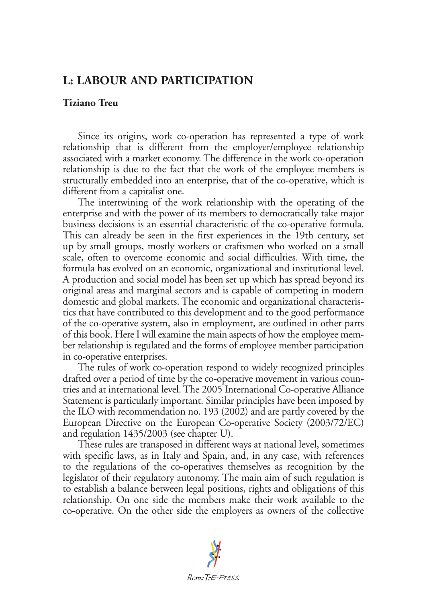## **L: LABOUR AND PARTICIPATION**

## **Tiziano Treu**

Since its origins, work co-operation has represented a type of work relationship that is different from the employer/employee relationship associated with a market economy. The difference in the work co-operation relationship is due to the fact that the work of the employee members is structurally embedded into an enterprise, that of the co-operative, which is different from a capitalist one.

The intertwining of the work relationship with the operating of the enterprise and with the power of its members to democratically take major business decisions is an essential characteristic of the co-operative formula. This can already be seen in the first experiences in the 19th century, set up by small groups, mostly workers or craftsmen who worked on a small scale, often to overcome economic and social difficulties. With time, the formula has evolved on an economic, organizational and institutional level. A production and social model has been set up which has spread beyond its original areas and marginal sectors and is capable of competing in modern domestic and global markets. The economic and organizational characteristics that have contributed to this development and to the good performance of the co-operative system, also in employment, are outlined in other parts of this book. Here I will examine the main aspects of how the employee member relationship is regulated and the forms of employee member participation in co-operative enterprises.

The rules of work co-operation respond to widely recognized principles drafted over a period of time by the co-operative movement in various countries and at international level. The 2005 International Co-operative Alliance Statement is particularly important. Similar principles have been imposed by the ILO with recommendation no. 193 (2002) and are partly covered by the European Directive on the European Co-operative Society (2003/72/EC) and regulation 1435/2003 (see chapter U).

These rules are transposed in different ways at national level, sometimes with specific laws, as in Italy and Spain, and, in any case, with references to the regulations of the co-operatives themselves as recognition by the legislator of their regulatory autonomy. The main aim of such regulation is to establish a balance between legal positions, rights and obligations of this relationship. On one side the members make their work available to the co-operative. On the other side the employers as owners of the collective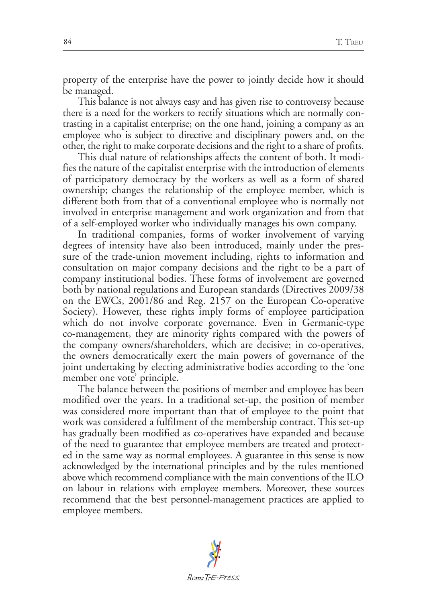property of the enterprise have the power to jointly decide how it should be managed.

This balance is not always easy and has given rise to controversy because there is a need for the workers to rectify situations which are normally contrasting in a capitalist enterprise; on the one hand, joining a company as an employee who is subject to directive and disciplinary powers and, on the other, the right to make corporate decisions and the right to a share of profits.

This dual nature of relationships affects the content of both. It modifies the nature of the capitalist enterprise with the introduction of elements of participatory democracy by the workers as well as a form of shared ownership; changes the relationship of the employee member, which is different both from that of a conventional employee who is normally not involved in enterprise management and work organization and from that of a self-employed worker who individually manages his own company.

In traditional companies, forms of worker involvement of varying degrees of intensity have also been introduced, mainly under the pressure of the trade-union movement including, rights to information and consultation on major company decisions and the right to be a part of company institutional bodies. These forms of involvement are governed both by national regulations and European standards (Directives 2009/38 on the EWCs, 2001/86 and Reg. 2157 on the European Co-operative Society). However, these rights imply forms of employee participation which do not involve corporate governance. Even in Germanic-type co-management, they are minority rights compared with the powers of the company owners/shareholders, which are decisive; in co-operatives, the owners democratically exert the main powers of governance of the joint undertaking by electing administrative bodies according to the 'one member one vote' principle.

The balance between the positions of member and employee has been modified over the years. In a traditional set-up, the position of member was considered more important than that of employee to the point that work was considered a fulfilment of the membership contract. This set-up has gradually been modified as co-operatives have expanded and because of the need to guarantee that employee members are treated and protected in the same way as normal employees. A guarantee in this sense is now acknowledged by the international principles and by the rules mentioned above which recommend compliance with the main conventions of the ILO on labour in relations with employee members. Moreover, these sources recommend that the best personnel-management practices are applied to employee members.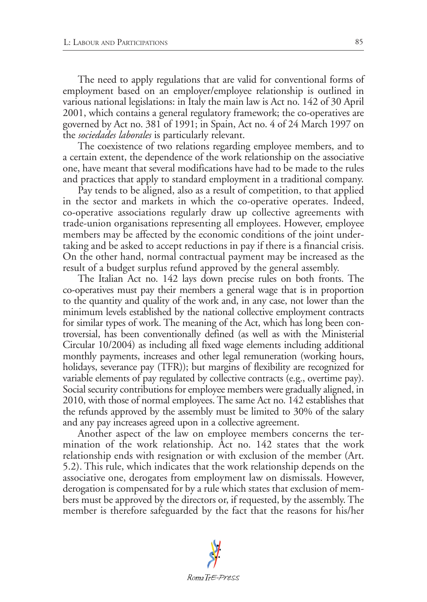The need to apply regulations that are valid for conventional forms of employment based on an employer/employee relationship is outlined in various national legislations: in Italy the main law is Act no. 142 of 30 April 2001, which contains a general regulatory framework; the co-operatives are governed by Act no. 381 of 1991; in Spain, Act no. 4 of 24 March 1997 on the *sociedades laborales* is particularly relevant.

The coexistence of two relations regarding employee members, and to a certain extent, the dependence of the work relationship on the associative one, have meant that several modifications have had to be made to the rules and practices that apply to standard employment in a traditional company.

Pay tends to be aligned, also as a result of competition, to that applied in the sector and markets in which the co-operative operates. Indeed, co-operative associations regularly draw up collective agreements with trade-union organisations representing all employees. However, employee members may be affected by the economic conditions of the joint undertaking and be asked to accept reductions in pay if there is a financial crisis. On the other hand, normal contractual payment may be increased as the result of a budget surplus refund approved by the general assembly.

The Italian Act no. 142 lays down precise rules on both fronts. The co-operatives must pay their members a general wage that is in proportion to the quantity and quality of the work and, in any case, not lower than the minimum levels established by the national collective employment contracts for similar types of work. The meaning of the Act, which has long been controversial, has been conventionally defined (as well as with the Ministerial Circular 10/2004) as including all fixed wage elements including additional monthly payments, increases and other legal remuneration (working hours, holidays, severance pay (TFR)); but margins of flexibility are recognized for variable elements of pay regulated by collective contracts (e.g., overtime pay). Social security contributions for employee members were gradually aligned, in 2010, with those of normal employees. The same Act no. 142 establishes that the refunds approved by the assembly must be limited to 30% of the salary and any pay increases agreed upon in a collective agreement.

Another aspect of the law on employee members concerns the termination of the work relationship. Act no. 142 states that the work relationship ends with resignation or with exclusion of the member (Art. 5.2). This rule, which indicates that the work relationship depends on the associative one, derogates from employment law on dismissals. However, derogation is compensated for by a rule which states that exclusion of members must be approved by the directors or, if requested, by the assembly. The member is therefore safeguarded by the fact that the reasons for his/her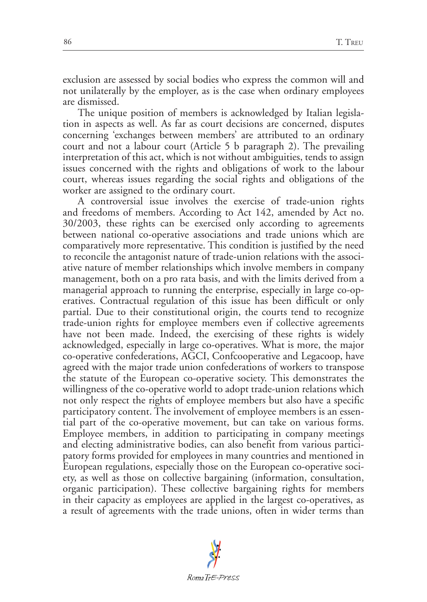exclusion are assessed by social bodies who express the common will and not unilaterally by the employer, as is the case when ordinary employees are dismissed.

The unique position of members is acknowledged by Italian legislation in aspects as well. As far as court decisions are concerned, disputes concerning 'exchanges between members' are attributed to an ordinary court and not a labour court (Article 5 b paragraph 2). The prevailing interpretation of this act, which is not without ambiguities, tends to assign issues concerned with the rights and obligations of work to the labour court, whereas issues regarding the social rights and obligations of the worker are assigned to the ordinary court.

A controversial issue involves the exercise of trade-union rights and freedoms of members. According to Act 142, amended by Act no. 30/2003, these rights can be exercised only according to agreements between national co-operative associations and trade unions which are comparatively more representative. This condition is justified by the need to reconcile the antagonist nature of trade-union relations with the associative nature of member relationships which involve members in company management, both on a pro rata basis, and with the limits derived from a managerial approach to running the enterprise, especially in large co-operatives. Contractual regulation of this issue has been difficult or only partial. Due to their constitutional origin, the courts tend to recognize trade-union rights for employee members even if collective agreements have not been made. Indeed, the exercising of these rights is widely acknowledged, especially in large co-operatives. What is more, the major co-operative confederations, AGCI, Confcooperative and Legacoop, have agreed with the major trade union confederations of workers to transpose the statute of the European co-operative society. This demonstrates the willingness of the co-operative world to adopt trade-union relations which not only respect the rights of employee members but also have a specific participatory content. The involvement of employee members is an essential part of the co-operative movement, but can take on various forms. Employee members, in addition to participating in company meetings and electing administrative bodies, can also benefit from various participatory forms provided for employees in many countries and mentioned in European regulations, especially those on the European co-operative society, as well as those on collective bargaining (information, consultation, organic participation). These collective bargaining rights for members in their capacity as employees are applied in the largest co-operatives, as a result of agreements with the trade unions, often in wider terms than

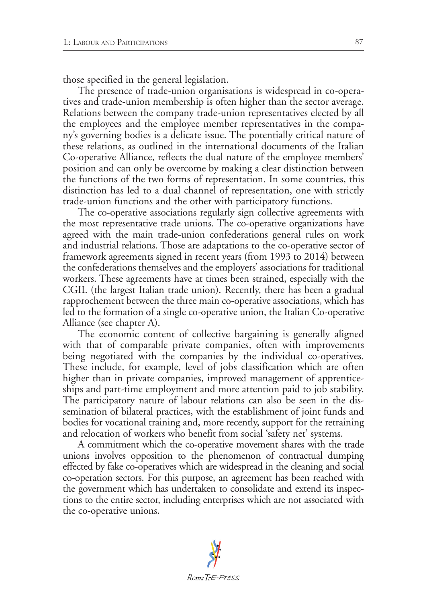those specified in the general legislation.

The presence of trade-union organisations is widespread in co-operatives and trade-union membership is often higher than the sector average. Relations between the company trade-union representatives elected by all the employees and the employee member representatives in the company's governing bodies is a delicate issue. The potentially critical nature of these relations, as outlined in the international documents of the Italian Co-operative Alliance, reflects the dual nature of the employee members' position and can only be overcome by making a clear distinction between the functions of the two forms of representation. In some countries, this distinction has led to a dual channel of representation, one with strictly trade-union functions and the other with participatory functions.

The co-operative associations regularly sign collective agreements with the most representative trade unions. The co-operative organizations have agreed with the main trade-union confederations general rules on work and industrial relations. Those are adaptations to the co-operative sector of framework agreements signed in recent years (from 1993 to 2014) between the confederations themselves and the employers' associations for traditional workers. These agreements have at times been strained, especially with the CGIL (the largest Italian trade union). Recently, there has been a gradual rapprochement between the three main co-operative associations, which has led to the formation of a single co-operative union, the Italian Co-operative Alliance (see chapter A).

The economic content of collective bargaining is generally aligned with that of comparable private companies, often with improvements being negotiated with the companies by the individual co-operatives. These include, for example, level of jobs classification which are often higher than in private companies, improved management of apprenticeships and part-time employment and more attention paid to job stability. The participatory nature of labour relations can also be seen in the dissemination of bilateral practices, with the establishment of joint funds and bodies for vocational training and, more recently, support for the retraining and relocation of workers who benefit from social 'safety net' systems.

A commitment which the co-operative movement shares with the trade unions involves opposition to the phenomenon of contractual dumping effected by fake co-operatives which are widespread in the cleaning and social co-operation sectors. For this purpose, an agreement has been reached with the government which has undertaken to consolidate and extend its inspections to the entire sector, including enterprises which are not associated with the co-operative unions.